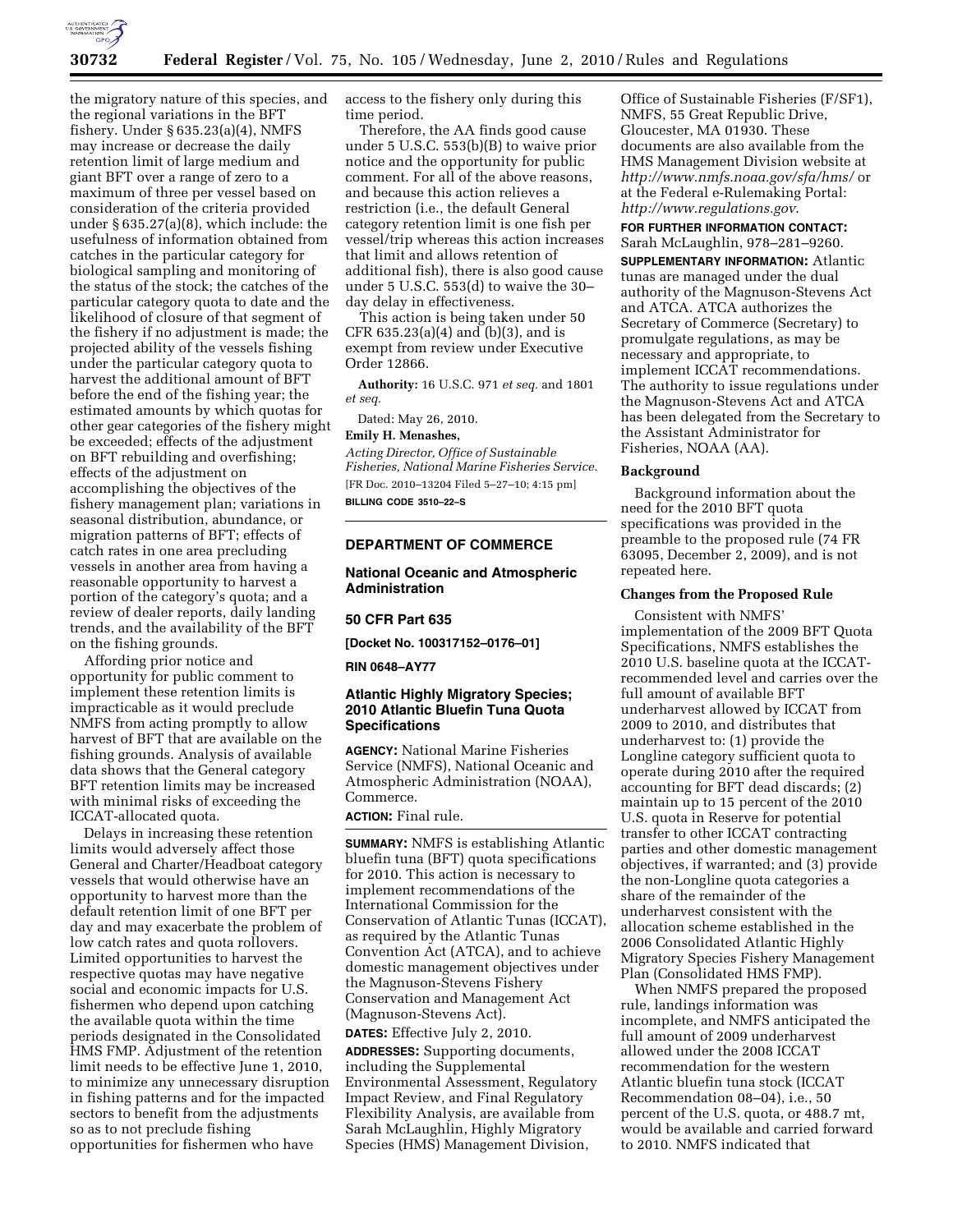

the migratory nature of this species, and the regional variations in the BFT fishery. Under § 635.23(a)(4), NMFS may increase or decrease the daily retention limit of large medium and giant BFT over a range of zero to a maximum of three per vessel based on consideration of the criteria provided under § 635.27(a)(8), which include: the usefulness of information obtained from catches in the particular category for biological sampling and monitoring of the status of the stock; the catches of the particular category quota to date and the likelihood of closure of that segment of the fishery if no adjustment is made; the projected ability of the vessels fishing under the particular category quota to harvest the additional amount of BFT before the end of the fishing year; the estimated amounts by which quotas for other gear categories of the fishery might be exceeded; effects of the adjustment on BFT rebuilding and overfishing; effects of the adjustment on accomplishing the objectives of the fishery management plan; variations in seasonal distribution, abundance, or migration patterns of BFT; effects of catch rates in one area precluding vessels in another area from having a reasonable opportunity to harvest a portion of the category's quota; and a review of dealer reports, daily landing trends, and the availability of the BFT on the fishing grounds.

Affording prior notice and opportunity for public comment to implement these retention limits is impracticable as it would preclude NMFS from acting promptly to allow harvest of BFT that are available on the fishing grounds. Analysis of available data shows that the General category BFT retention limits may be increased with minimal risks of exceeding the ICCAT-allocated quota.

Delays in increasing these retention limits would adversely affect those General and Charter/Headboat category vessels that would otherwise have an opportunity to harvest more than the default retention limit of one BFT per day and may exacerbate the problem of low catch rates and quota rollovers. Limited opportunities to harvest the respective quotas may have negative social and economic impacts for U.S. fishermen who depend upon catching the available quota within the time periods designated in the Consolidated HMS FMP. Adjustment of the retention limit needs to be effective June 1, 2010, to minimize any unnecessary disruption in fishing patterns and for the impacted sectors to benefit from the adjustments so as to not preclude fishing opportunities for fishermen who have

access to the fishery only during this time period.

Therefore, the AA finds good cause under 5 U.S.C. 553(b)(B) to waive prior notice and the opportunity for public comment. For all of the above reasons, and because this action relieves a restriction (i.e., the default General category retention limit is one fish per vessel/trip whereas this action increases that limit and allows retention of additional fish), there is also good cause under 5 U.S.C. 553(d) to waive the 30– day delay in effectiveness.

This action is being taken under 50 CFR 635.23(a)(4) and (b)(3), and is exempt from review under Executive Order 12866.

**Authority:** 16 U.S.C. 971 *et seq.* and 1801 *et seq.* 

Dated: May 26, 2010.

## **Emily H. Menashes,**

*Acting Director, Office of Sustainable Fisheries, National Marine Fisheries Service.*  [FR Doc. 2010–13204 Filed 5–27–10; 4:15 pm] **BILLING CODE 3510–22–S** 

**DEPARTMENT OF COMMERCE** 

# **National Oceanic and Atmospheric Administration**

## **50 CFR Part 635**

**[Docket No. 100317152–0176–01]** 

**RIN 0648–AY77** 

# **Atlantic Highly Migratory Species; 2010 Atlantic Bluefin Tuna Quota Specifications**

**AGENCY:** National Marine Fisheries Service (NMFS), National Oceanic and Atmospheric Administration (NOAA), Commerce.

## **ACTION:** Final rule.

**SUMMARY:** NMFS is establishing Atlantic bluefin tuna (BFT) quota specifications for 2010. This action is necessary to implement recommendations of the International Commission for the Conservation of Atlantic Tunas (ICCAT), as required by the Atlantic Tunas Convention Act (ATCA), and to achieve domestic management objectives under the Magnuson-Stevens Fishery Conservation and Management Act (Magnuson-Stevens Act).

**DATES:** Effective July 2, 2010.

**ADDRESSES:** Supporting documents, including the Supplemental Environmental Assessment, Regulatory Impact Review, and Final Regulatory Flexibility Analysis, are available from Sarah McLaughlin, Highly Migratory Species (HMS) Management Division,

Office of Sustainable Fisheries (F/SF1), NMFS, 55 Great Republic Drive, Gloucester, MA 01930. These documents are also available from the HMS Management Division website at *http://www.nmfs.noaa.gov/sfa/hms/* or at the Federal e-Rulemaking Portal: *http://www.regulations.gov*.

## **FOR FURTHER INFORMATION CONTACT:**  Sarah McLaughlin, 978–281–9260.

**SUPPLEMENTARY INFORMATION:** Atlantic tunas are managed under the dual authority of the Magnuson-Stevens Act and ATCA. ATCA authorizes the Secretary of Commerce (Secretary) to promulgate regulations, as may be necessary and appropriate, to implement ICCAT recommendations. The authority to issue regulations under the Magnuson-Stevens Act and ATCA has been delegated from the Secretary to the Assistant Administrator for Fisheries, NOAA (AA).

## **Background**

Background information about the need for the 2010 BFT quota specifications was provided in the preamble to the proposed rule (74 FR 63095, December 2, 2009), and is not repeated here.

### **Changes from the Proposed Rule**

Consistent with NMFS' implementation of the 2009 BFT Quota Specifications, NMFS establishes the 2010 U.S. baseline quota at the ICCATrecommended level and carries over the full amount of available BFT underharvest allowed by ICCAT from 2009 to 2010, and distributes that underharvest to: (1) provide the Longline category sufficient quota to operate during 2010 after the required accounting for BFT dead discards; (2) maintain up to 15 percent of the 2010 U.S. quota in Reserve for potential transfer to other ICCAT contracting parties and other domestic management objectives, if warranted; and (3) provide the non-Longline quota categories a share of the remainder of the underharvest consistent with the allocation scheme established in the 2006 Consolidated Atlantic Highly Migratory Species Fishery Management Plan (Consolidated HMS FMP).

When NMFS prepared the proposed rule, landings information was incomplete, and NMFS anticipated the full amount of 2009 underharvest allowed under the 2008 ICCAT recommendation for the western Atlantic bluefin tuna stock (ICCAT Recommendation 08–04), i.e., 50 percent of the U.S. quota, or 488.7 mt, would be available and carried forward to 2010. NMFS indicated that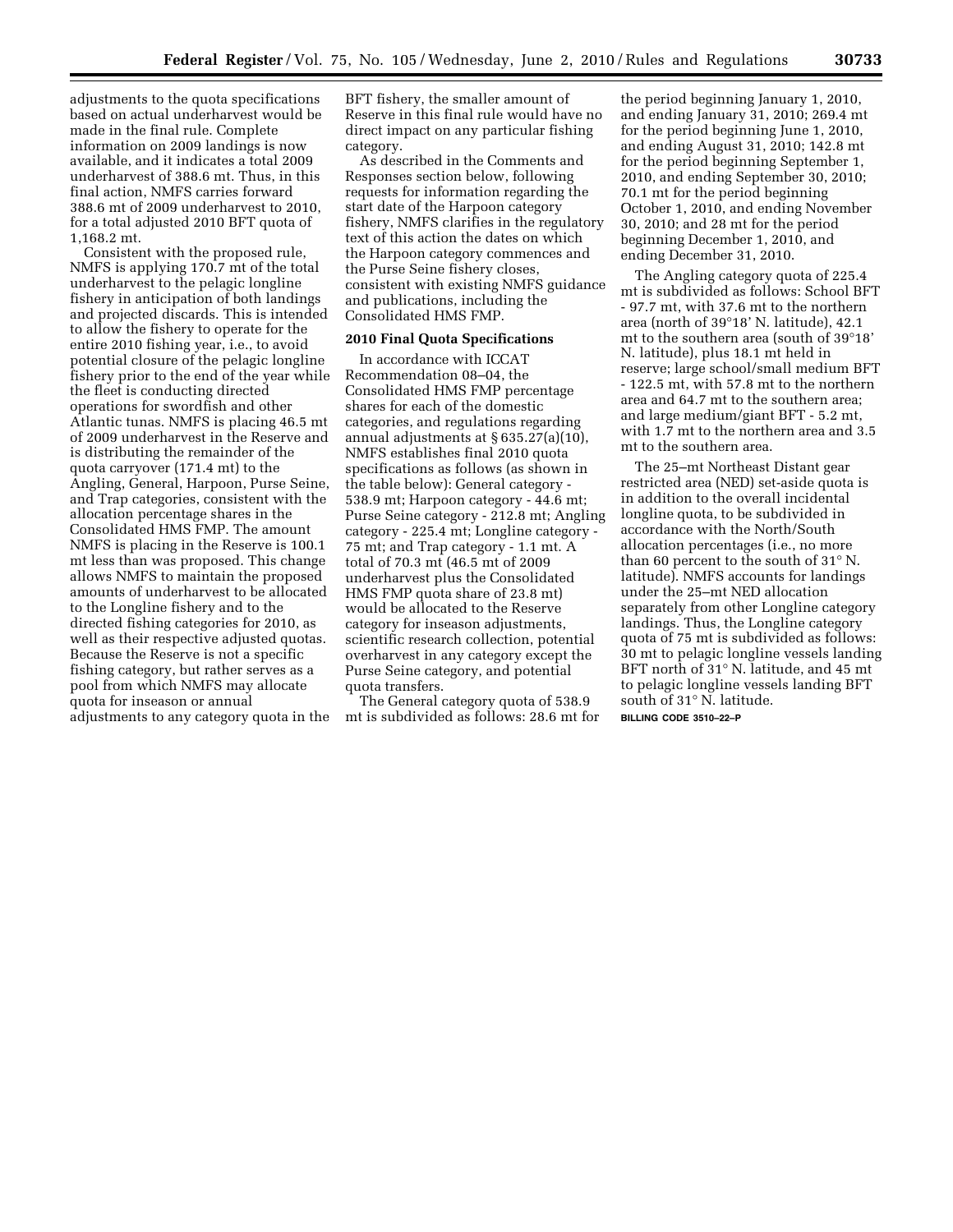adjustments to the quota specifications based on actual underharvest would be made in the final rule. Complete information on 2009 landings is now available, and it indicates a total 2009 underharvest of 388.6 mt. Thus, in this final action, NMFS carries forward 388.6 mt of 2009 underharvest to 2010, for a total adjusted 2010 BFT quota of 1,168.2 mt.

Consistent with the proposed rule, NMFS is applying 170.7 mt of the total underharvest to the pelagic longline fishery in anticipation of both landings and projected discards. This is intended to allow the fishery to operate for the entire 2010 fishing year, i.e., to avoid potential closure of the pelagic longline fishery prior to the end of the year while the fleet is conducting directed operations for swordfish and other Atlantic tunas. NMFS is placing 46.5 mt of 2009 underharvest in the Reserve and is distributing the remainder of the quota carryover (171.4 mt) to the Angling, General, Harpoon, Purse Seine, and Trap categories, consistent with the allocation percentage shares in the Consolidated HMS FMP. The amount NMFS is placing in the Reserve is 100.1 mt less than was proposed. This change allows NMFS to maintain the proposed amounts of underharvest to be allocated to the Longline fishery and to the directed fishing categories for 2010, as well as their respective adjusted quotas. Because the Reserve is not a specific fishing category, but rather serves as a pool from which NMFS may allocate quota for inseason or annual adjustments to any category quota in the BFT fishery, the smaller amount of Reserve in this final rule would have no direct impact on any particular fishing category.

As described in the Comments and Responses section below, following requests for information regarding the start date of the Harpoon category fishery, NMFS clarifies in the regulatory text of this action the dates on which the Harpoon category commences and the Purse Seine fishery closes, consistent with existing NMFS guidance and publications, including the Consolidated HMS FMP.

# **2010 Final Quota Specifications**

In accordance with ICCAT Recommendation 08–04, the Consolidated HMS FMP percentage shares for each of the domestic categories, and regulations regarding annual adjustments at § 635.27(a)(10), NMFS establishes final 2010 quota specifications as follows (as shown in the table below): General category - 538.9 mt; Harpoon category - 44.6 mt; Purse Seine category - 212.8 mt; Angling category - 225.4 mt; Longline category - 75 mt; and Trap category - 1.1 mt. A total of 70.3 mt (46.5 mt of 2009 underharvest plus the Consolidated HMS FMP quota share of 23.8 mt) would be allocated to the Reserve category for inseason adjustments, scientific research collection, potential overharvest in any category except the Purse Seine category, and potential quota transfers.

The General category quota of 538.9 mt is subdivided as follows: 28.6 mt for

the period beginning January 1, 2010, and ending January 31, 2010; 269.4 mt for the period beginning June 1, 2010, and ending August 31, 2010; 142.8 mt for the period beginning September 1, 2010, and ending September 30, 2010; 70.1 mt for the period beginning October 1, 2010, and ending November 30, 2010; and 28 mt for the period beginning December 1, 2010, and ending December 31, 2010.

The Angling category quota of 225.4 mt is subdivided as follows: School BFT - 97.7 mt, with 37.6 mt to the northern area (north of 39°18' N. latitude), 42.1 mt to the southern area (south of 39°18' N. latitude), plus 18.1 mt held in reserve; large school/small medium BFT - 122.5 mt, with 57.8 mt to the northern area and 64.7 mt to the southern area; and large medium/giant BFT - 5.2 mt, with 1.7 mt to the northern area and 3.5 mt to the southern area.

The 25–mt Northeast Distant gear restricted area (NED) set-aside quota is in addition to the overall incidental longline quota, to be subdivided in accordance with the North/South allocation percentages (i.e., no more than 60 percent to the south of 31° N. latitude). NMFS accounts for landings under the 25–mt NED allocation separately from other Longline category landings. Thus, the Longline category quota of 75 mt is subdivided as follows: 30 mt to pelagic longline vessels landing BFT north of 31° N. latitude, and 45 mt to pelagic longline vessels landing BFT south of 31° N. latitude. **BILLING CODE 3510–22–P**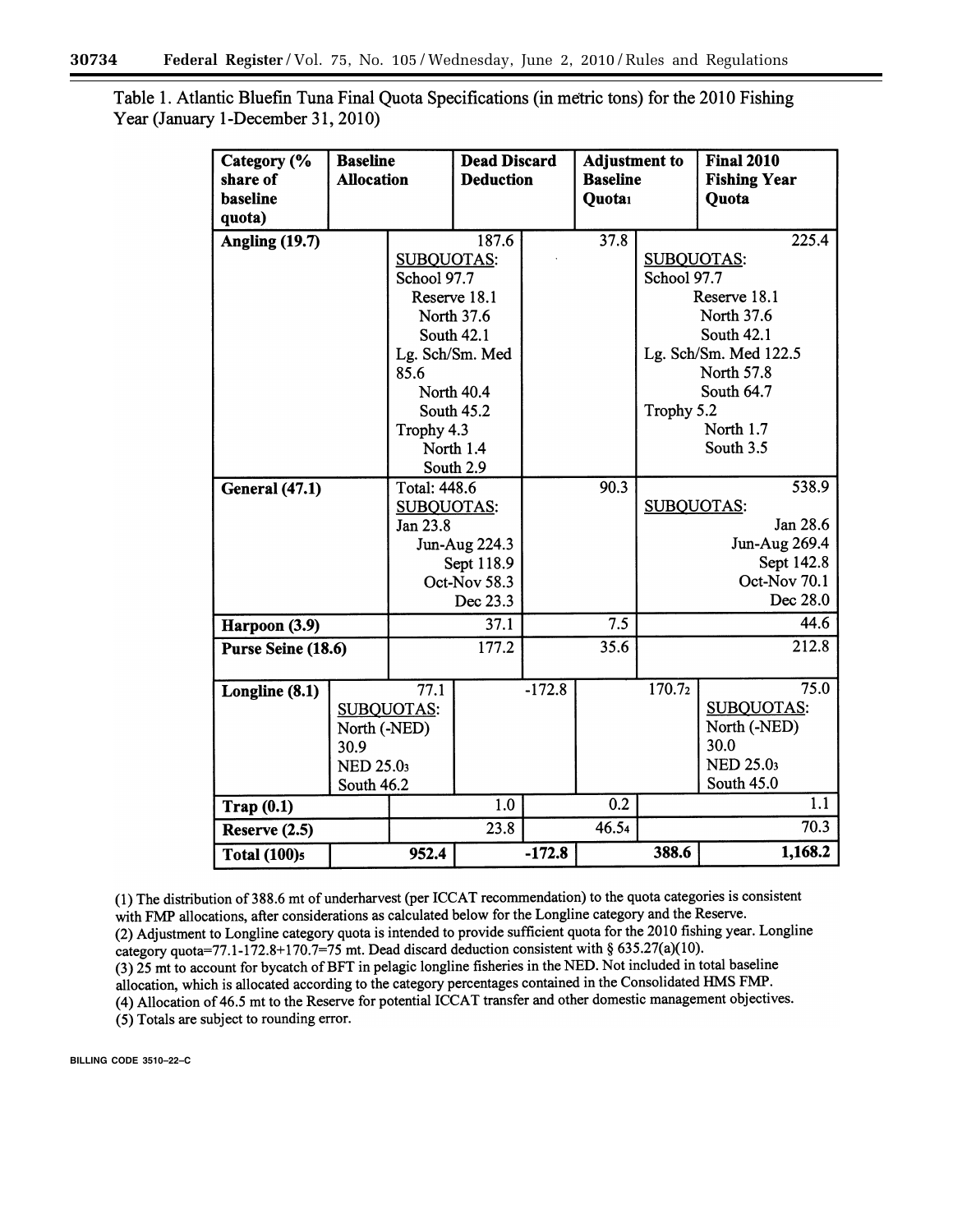| Category (%<br>share of<br>baseline<br>quota) | <b>Baseline</b><br><b>Allocation</b>                   |                                                                                                          | <b>Dead Discard</b><br><b>Deduction</b>                               |                  | Adjustment to<br><b>Baseline</b><br>Quotai |                                                                                                   | <b>Final 2010</b><br><b>Fishing Year</b><br>Quota                                   |
|-----------------------------------------------|--------------------------------------------------------|----------------------------------------------------------------------------------------------------------|-----------------------------------------------------------------------|------------------|--------------------------------------------|---------------------------------------------------------------------------------------------------|-------------------------------------------------------------------------------------|
| <b>Angling (19.7)</b>                         |                                                        | 187.6<br><b>SUBQUOTAS:</b><br>School 97.7<br>Reserve 18.1<br>North 37.6<br><b>South 42.1</b>             |                                                                       |                  | 37.8                                       | 225.4<br><b>SUBQUOTAS:</b><br>School 97.7<br>Reserve 18.1<br>North 37.6<br>South 42.1             |                                                                                     |
|                                               |                                                        | 85.6<br>Trophy 4.3                                                                                       | Lg. Sch/Sm. Med<br>North 40.4<br>South 45.2<br>North 1.4<br>South 2.9 |                  |                                            | Trophy 5.2                                                                                        | Lg. Sch/Sm. Med 122.5<br>North 57.8<br>South 64.7<br>North 1.7<br>South 3.5         |
| <b>General</b> (47.1)                         |                                                        | Total: 448.6<br><b>SUBQUOTAS:</b><br>Jan 23.8<br>Jun-Aug 224.3<br>Sept 118.9<br>Oct-Nov 58.3<br>Dec 23.3 |                                                                       | 90.3             |                                            | 538.9<br><b>SUBQUOTAS:</b><br>Jan 28.6<br>Jun-Aug 269.4<br>Sept 142.8<br>Oct-Nov 70.1<br>Dec 28.0 |                                                                                     |
| Harpoon (3.9)                                 |                                                        | 37.1                                                                                                     |                                                                       | $\overline{7.5}$ |                                            | 44.6                                                                                              |                                                                                     |
| Purse Seine (18.6)                            |                                                        | 177.2                                                                                                    |                                                                       | 35.6             |                                            | 212.8                                                                                             |                                                                                     |
| Longline (8.1)                                | North (-NED)<br>30.9<br><b>NED 25.03</b><br>South 46.2 | 77.1<br><b>SUBQUOTAS:</b>                                                                                |                                                                       | $-172.8$         |                                            | 170.72                                                                                            | 75.0<br><b>SUBQUOTAS:</b><br>North (-NED)<br>30.0<br><b>NED 25.03</b><br>South 45.0 |
| Trap(0.1)                                     |                                                        |                                                                                                          | 1.0                                                                   |                  | 0.2                                        |                                                                                                   | 1.1                                                                                 |
| Reserve (2.5)                                 |                                                        | 23.8                                                                                                     |                                                                       | 46.54            |                                            | 70.3                                                                                              |                                                                                     |
| <b>Total (100)s</b>                           |                                                        | 952.4                                                                                                    |                                                                       | $-172.8$         |                                            | 388.6                                                                                             | 1,168.2                                                                             |

Table 1. Atlantic Bluefin Tuna Final Quota Specifications (in metric tons) for the 2010 Fishing Year (January 1-December 31, 2010)

(1) The distribution of 388.6 mt of underharvest (per ICCAT recommendation) to the quota categories is consistent with FMP allocations, after considerations as calculated below for the Longline category and the Reserve. (2) Adjustment to Longline category quota is intended to provide sufficient quota for the 2010 fishing year. Longline category quota=77.1-172.8+170.7=75 mt. Dead discard deduction consistent with § 635.27(a)(10). (3) 25 mt to account for bycatch of BFT in pelagic longline fisheries in the NED. Not included in total baseline allocation, which is allocated according to the category percentages contained in the Consolidated HMS FMP. (4) Allocation of 46.5 mt to the Reserve for potential ICCAT transfer and other domestic management objectives.

(5) Totals are subject to rounding error.

**BILLING CODE 3510–22–C**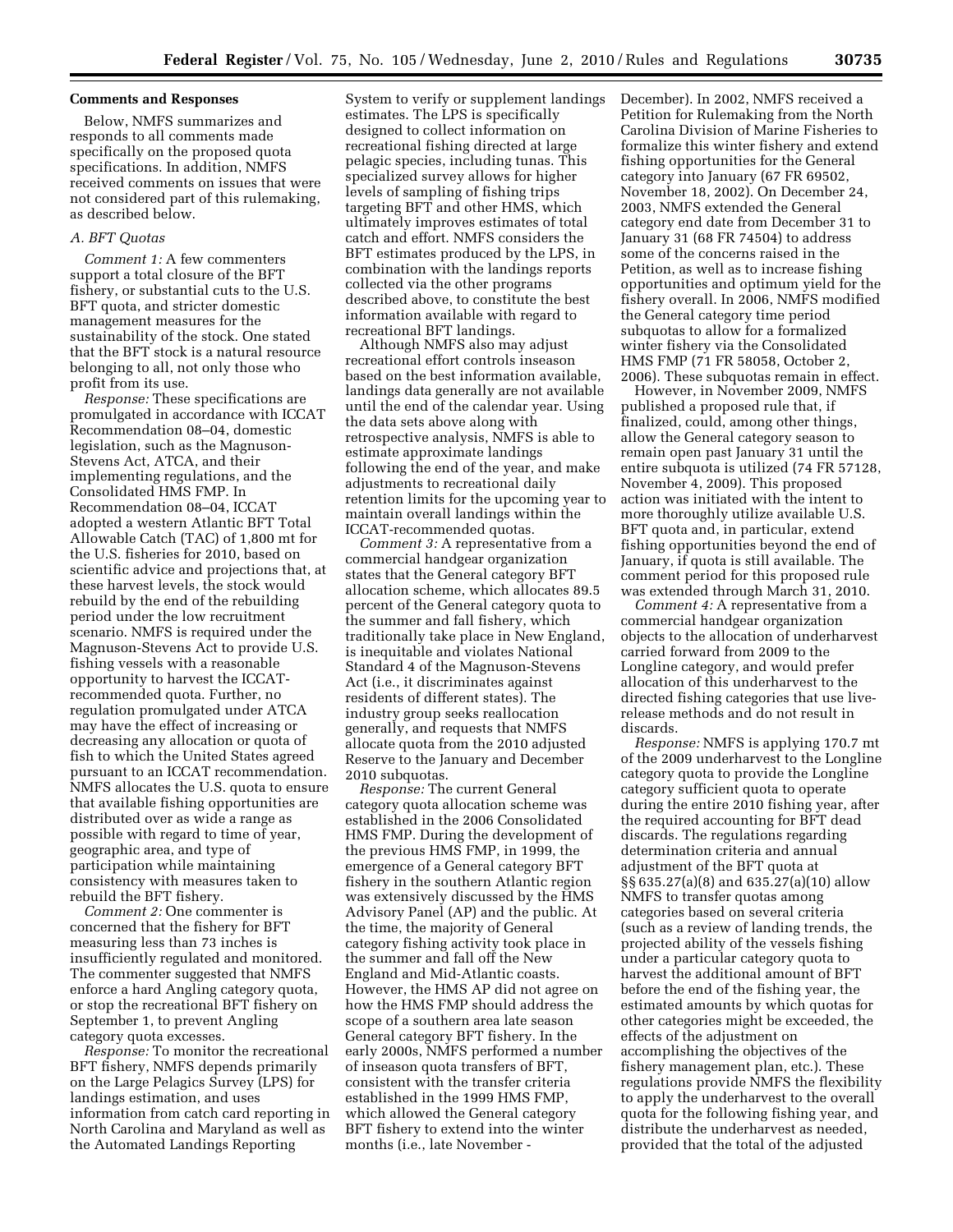## **Comments and Responses**

Below, NMFS summarizes and responds to all comments made specifically on the proposed quota specifications. In addition, NMFS received comments on issues that were not considered part of this rulemaking, as described below.

## *A. BFT Quotas*

*Comment 1:* A few commenters support a total closure of the BFT fishery, or substantial cuts to the U.S. BFT quota, and stricter domestic management measures for the sustainability of the stock. One stated that the BFT stock is a natural resource belonging to all, not only those who profit from its use.

*Response:* These specifications are promulgated in accordance with ICCAT Recommendation 08–04, domestic legislation, such as the Magnuson-Stevens Act, ATCA, and their implementing regulations, and the Consolidated HMS FMP. In Recommendation 08–04, ICCAT adopted a western Atlantic BFT Total Allowable Catch (TAC) of 1,800 mt for the U.S. fisheries for 2010, based on scientific advice and projections that, at these harvest levels, the stock would rebuild by the end of the rebuilding period under the low recruitment scenario. NMFS is required under the Magnuson-Stevens Act to provide U.S. fishing vessels with a reasonable opportunity to harvest the ICCATrecommended quota. Further, no regulation promulgated under ATCA may have the effect of increasing or decreasing any allocation or quota of fish to which the United States agreed pursuant to an ICCAT recommendation. NMFS allocates the U.S. quota to ensure that available fishing opportunities are distributed over as wide a range as possible with regard to time of year, geographic area, and type of participation while maintaining consistency with measures taken to rebuild the BFT fishery.

*Comment 2:* One commenter is concerned that the fishery for BFT measuring less than 73 inches is insufficiently regulated and monitored. The commenter suggested that NMFS enforce a hard Angling category quota, or stop the recreational BFT fishery on September 1, to prevent Angling category quota excesses.

*Response:* To monitor the recreational BFT fishery, NMFS depends primarily on the Large Pelagics Survey (LPS) for landings estimation, and uses information from catch card reporting in North Carolina and Maryland as well as the Automated Landings Reporting

System to verify or supplement landings estimates. The LPS is specifically designed to collect information on recreational fishing directed at large pelagic species, including tunas. This specialized survey allows for higher levels of sampling of fishing trips targeting BFT and other HMS, which ultimately improves estimates of total catch and effort. NMFS considers the BFT estimates produced by the LPS, in combination with the landings reports collected via the other programs described above, to constitute the best information available with regard to recreational BFT landings.

Although NMFS also may adjust recreational effort controls inseason based on the best information available, landings data generally are not available until the end of the calendar year. Using the data sets above along with retrospective analysis, NMFS is able to estimate approximate landings following the end of the year, and make adjustments to recreational daily retention limits for the upcoming year to maintain overall landings within the ICCAT-recommended quotas.

*Comment 3:* A representative from a commercial handgear organization states that the General category BFT allocation scheme, which allocates 89.5 percent of the General category quota to the summer and fall fishery, which traditionally take place in New England, is inequitable and violates National Standard 4 of the Magnuson-Stevens Act (i.e., it discriminates against residents of different states). The industry group seeks reallocation generally, and requests that NMFS allocate quota from the 2010 adjusted Reserve to the January and December 2010 subquotas.

*Response:* The current General category quota allocation scheme was established in the 2006 Consolidated HMS FMP. During the development of the previous HMS FMP, in 1999, the emergence of a General category BFT fishery in the southern Atlantic region was extensively discussed by the HMS Advisory Panel (AP) and the public. At the time, the majority of General category fishing activity took place in the summer and fall off the New England and Mid-Atlantic coasts. However, the HMS AP did not agree on how the HMS FMP should address the scope of a southern area late season General category BFT fishery. In the early 2000s, NMFS performed a number of inseason quota transfers of BFT, consistent with the transfer criteria established in the 1999 HMS FMP, which allowed the General category BFT fishery to extend into the winter months (i.e., late November -

December). In 2002, NMFS received a Petition for Rulemaking from the North Carolina Division of Marine Fisheries to formalize this winter fishery and extend fishing opportunities for the General category into January (67 FR 69502, November 18, 2002). On December 24, 2003, NMFS extended the General category end date from December 31 to January 31 (68 FR 74504) to address some of the concerns raised in the Petition, as well as to increase fishing opportunities and optimum yield for the fishery overall. In 2006, NMFS modified the General category time period subquotas to allow for a formalized winter fishery via the Consolidated HMS FMP (71 FR 58058, October 2, 2006). These subquotas remain in effect.

However, in November 2009, NMFS published a proposed rule that, if finalized, could, among other things, allow the General category season to remain open past January 31 until the entire subquota is utilized (74 FR 57128, November 4, 2009). This proposed action was initiated with the intent to more thoroughly utilize available U.S. BFT quota and, in particular, extend fishing opportunities beyond the end of January, if quota is still available. The comment period for this proposed rule was extended through March 31, 2010.

*Comment 4:* A representative from a commercial handgear organization objects to the allocation of underharvest carried forward from 2009 to the Longline category, and would prefer allocation of this underharvest to the directed fishing categories that use liverelease methods and do not result in discards.

*Response:* NMFS is applying 170.7 mt of the 2009 underharvest to the Longline category quota to provide the Longline category sufficient quota to operate during the entire 2010 fishing year, after the required accounting for BFT dead discards. The regulations regarding determination criteria and annual adjustment of the BFT quota at §§ 635.27(a)(8) and 635.27(a)(10) allow NMFS to transfer quotas among categories based on several criteria (such as a review of landing trends, the projected ability of the vessels fishing under a particular category quota to harvest the additional amount of BFT before the end of the fishing year, the estimated amounts by which quotas for other categories might be exceeded, the effects of the adjustment on accomplishing the objectives of the fishery management plan, etc.). These regulations provide NMFS the flexibility to apply the underharvest to the overall quota for the following fishing year, and distribute the underharvest as needed, provided that the total of the adjusted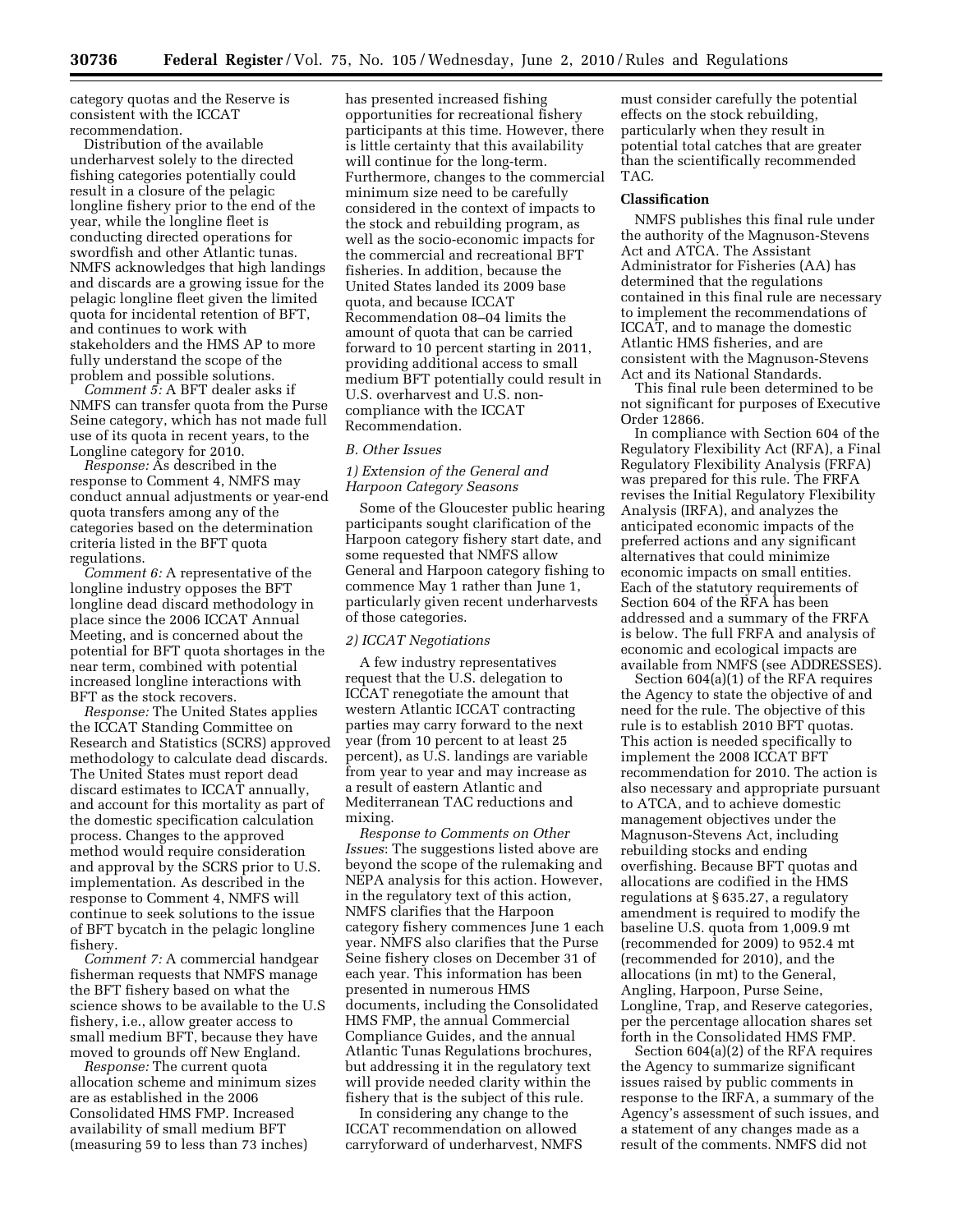category quotas and the Reserve is consistent with the ICCAT recommendation.

Distribution of the available underharvest solely to the directed fishing categories potentially could result in a closure of the pelagic longline fishery prior to the end of the year, while the longline fleet is conducting directed operations for swordfish and other Atlantic tunas. NMFS acknowledges that high landings and discards are a growing issue for the pelagic longline fleet given the limited quota for incidental retention of BFT, and continues to work with stakeholders and the HMS AP to more fully understand the scope of the problem and possible solutions.

*Comment 5:* A BFT dealer asks if NMFS can transfer quota from the Purse Seine category, which has not made full use of its quota in recent years, to the Longline category for 2010.

*Response:* As described in the response to Comment 4, NMFS may conduct annual adjustments or year-end quota transfers among any of the categories based on the determination criteria listed in the BFT quota regulations.

*Comment 6:* A representative of the longline industry opposes the BFT longline dead discard methodology in place since the 2006 ICCAT Annual Meeting, and is concerned about the potential for BFT quota shortages in the near term, combined with potential increased longline interactions with BFT as the stock recovers.

*Response:* The United States applies the ICCAT Standing Committee on Research and Statistics (SCRS) approved methodology to calculate dead discards. The United States must report dead discard estimates to ICCAT annually, and account for this mortality as part of the domestic specification calculation process. Changes to the approved method would require consideration and approval by the SCRS prior to U.S. implementation. As described in the response to Comment 4, NMFS will continue to seek solutions to the issue of BFT bycatch in the pelagic longline fishery.

*Comment 7:* A commercial handgear fisherman requests that NMFS manage the BFT fishery based on what the science shows to be available to the U.S fishery, i.e., allow greater access to small medium BFT, because they have moved to grounds off New England.

*Response:* The current quota allocation scheme and minimum sizes are as established in the 2006 Consolidated HMS FMP. Increased availability of small medium BFT (measuring 59 to less than 73 inches)

has presented increased fishing opportunities for recreational fishery participants at this time. However, there is little certainty that this availability will continue for the long-term. Furthermore, changes to the commercial minimum size need to be carefully considered in the context of impacts to the stock and rebuilding program, as well as the socio-economic impacts for the commercial and recreational BFT fisheries. In addition, because the United States landed its 2009 base quota, and because ICCAT Recommendation 08–04 limits the amount of quota that can be carried forward to 10 percent starting in 2011, providing additional access to small medium BFT potentially could result in U.S. overharvest and U.S. noncompliance with the ICCAT Recommendation.

#### *B. Other Issues*

## *1) Extension of the General and Harpoon Category Seasons*

Some of the Gloucester public hearing participants sought clarification of the Harpoon category fishery start date, and some requested that NMFS allow General and Harpoon category fishing to commence May 1 rather than June 1, particularly given recent underharvests of those categories.

# *2) ICCAT Negotiations*

A few industry representatives request that the U.S. delegation to ICCAT renegotiate the amount that western Atlantic ICCAT contracting parties may carry forward to the next year (from 10 percent to at least 25 percent), as U.S. landings are variable from year to year and may increase as a result of eastern Atlantic and Mediterranean TAC reductions and mixing.

*Response to Comments on Other Issues*: The suggestions listed above are beyond the scope of the rulemaking and NEPA analysis for this action. However, in the regulatory text of this action, NMFS clarifies that the Harpoon category fishery commences June 1 each year. NMFS also clarifies that the Purse Seine fishery closes on December 31 of each year. This information has been presented in numerous HMS documents, including the Consolidated HMS FMP, the annual Commercial Compliance Guides, and the annual Atlantic Tunas Regulations brochures, but addressing it in the regulatory text will provide needed clarity within the fishery that is the subject of this rule.

In considering any change to the ICCAT recommendation on allowed carryforward of underharvest, NMFS

must consider carefully the potential effects on the stock rebuilding, particularly when they result in potential total catches that are greater than the scientifically recommended TAC.

## **Classification**

NMFS publishes this final rule under the authority of the Magnuson-Stevens Act and ATCA. The Assistant Administrator for Fisheries (AA) has determined that the regulations contained in this final rule are necessary to implement the recommendations of ICCAT, and to manage the domestic Atlantic HMS fisheries, and are consistent with the Magnuson-Stevens Act and its National Standards.

This final rule been determined to be not significant for purposes of Executive Order 12866.

In compliance with Section 604 of the Regulatory Flexibility Act (RFA), a Final Regulatory Flexibility Analysis (FRFA) was prepared for this rule. The FRFA revises the Initial Regulatory Flexibility Analysis (IRFA), and analyzes the anticipated economic impacts of the preferred actions and any significant alternatives that could minimize economic impacts on small entities. Each of the statutory requirements of Section 604 of the RFA has been addressed and a summary of the FRFA is below. The full FRFA and analysis of economic and ecological impacts are available from NMFS (see ADDRESSES).

Section 604(a)(1) of the RFA requires the Agency to state the objective of and need for the rule. The objective of this rule is to establish 2010 BFT quotas. This action is needed specifically to implement the 2008 ICCAT BFT recommendation for 2010. The action is also necessary and appropriate pursuant to ATCA, and to achieve domestic management objectives under the Magnuson-Stevens Act, including rebuilding stocks and ending overfishing. Because BFT quotas and allocations are codified in the HMS regulations at § 635.27, a regulatory amendment is required to modify the baseline U.S. quota from 1,009.9 mt (recommended for 2009) to 952.4 mt (recommended for 2010), and the allocations (in mt) to the General, Angling, Harpoon, Purse Seine, Longline, Trap, and Reserve categories, per the percentage allocation shares set forth in the Consolidated HMS FMP.

Section 604(a)(2) of the RFA requires the Agency to summarize significant issues raised by public comments in response to the IRFA, a summary of the Agency's assessment of such issues, and a statement of any changes made as a result of the comments. NMFS did not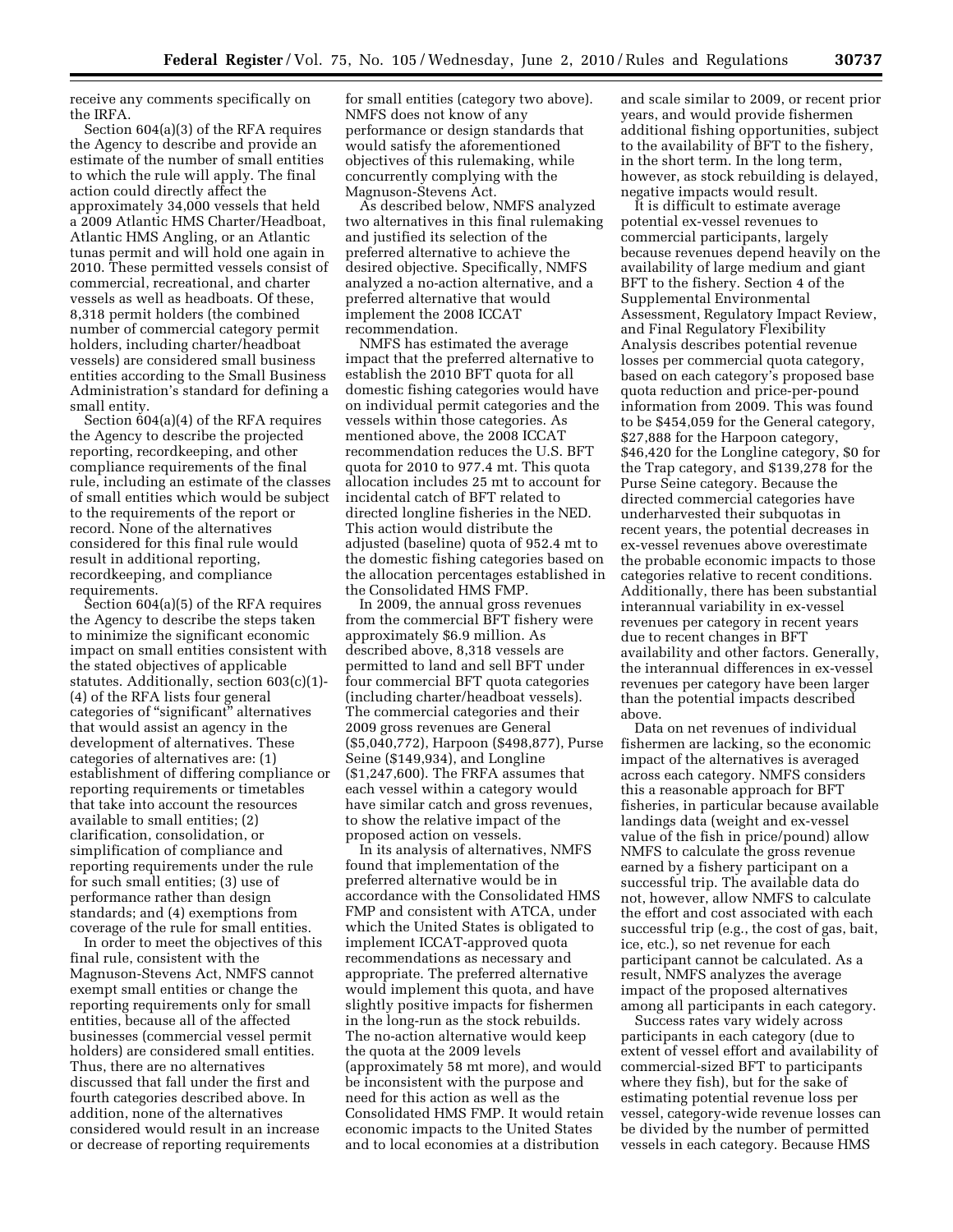receive any comments specifically on the IRFA.

Section 604(a)(3) of the RFA requires the Agency to describe and provide an estimate of the number of small entities to which the rule will apply. The final action could directly affect the approximately 34,000 vessels that held a 2009 Atlantic HMS Charter/Headboat, Atlantic HMS Angling, or an Atlantic tunas permit and will hold one again in 2010. These permitted vessels consist of commercial, recreational, and charter vessels as well as headboats. Of these, 8,318 permit holders (the combined number of commercial category permit holders, including charter/headboat vessels) are considered small business entities according to the Small Business Administration's standard for defining a small entity.

Section 604(a)(4) of the RFA requires the Agency to describe the projected reporting, recordkeeping, and other compliance requirements of the final rule, including an estimate of the classes of small entities which would be subject to the requirements of the report or record. None of the alternatives considered for this final rule would result in additional reporting, recordkeeping, and compliance requirements.

Section 604(a)(5) of the RFA requires the Agency to describe the steps taken to minimize the significant economic impact on small entities consistent with the stated objectives of applicable statutes. Additionally, section 603(c)(1)- (4) of the RFA lists four general categories of ''significant'' alternatives that would assist an agency in the development of alternatives. These categories of alternatives are: (1) establishment of differing compliance or reporting requirements or timetables that take into account the resources available to small entities; (2) clarification, consolidation, or simplification of compliance and reporting requirements under the rule for such small entities; (3) use of performance rather than design standards; and (4) exemptions from coverage of the rule for small entities.

In order to meet the objectives of this final rule, consistent with the Magnuson-Stevens Act, NMFS cannot exempt small entities or change the reporting requirements only for small entities, because all of the affected businesses (commercial vessel permit holders) are considered small entities. Thus, there are no alternatives discussed that fall under the first and fourth categories described above. In addition, none of the alternatives considered would result in an increase or decrease of reporting requirements

for small entities (category two above). NMFS does not know of any performance or design standards that would satisfy the aforementioned objectives of this rulemaking, while concurrently complying with the Magnuson-Stevens Act.

As described below, NMFS analyzed two alternatives in this final rulemaking and justified its selection of the preferred alternative to achieve the desired objective. Specifically, NMFS analyzed a no-action alternative, and a preferred alternative that would implement the 2008 ICCAT recommendation.

NMFS has estimated the average impact that the preferred alternative to establish the 2010 BFT quota for all domestic fishing categories would have on individual permit categories and the vessels within those categories. As mentioned above, the 2008 ICCAT recommendation reduces the U.S. BFT quota for 2010 to 977.4 mt. This quota allocation includes 25 mt to account for incidental catch of BFT related to directed longline fisheries in the NED. This action would distribute the adjusted (baseline) quota of 952.4 mt to the domestic fishing categories based on the allocation percentages established in the Consolidated HMS FMP.

In 2009, the annual gross revenues from the commercial BFT fishery were approximately \$6.9 million. As described above, 8,318 vessels are permitted to land and sell BFT under four commercial BFT quota categories (including charter/headboat vessels). The commercial categories and their 2009 gross revenues are General (\$5,040,772), Harpoon (\$498,877), Purse Seine (\$149,934), and Longline (\$1,247,600). The FRFA assumes that each vessel within a category would have similar catch and gross revenues, to show the relative impact of the proposed action on vessels.

In its analysis of alternatives, NMFS found that implementation of the preferred alternative would be in accordance with the Consolidated HMS FMP and consistent with ATCA, under which the United States is obligated to implement ICCAT-approved quota recommendations as necessary and appropriate. The preferred alternative would implement this quota, and have slightly positive impacts for fishermen in the long-run as the stock rebuilds. The no-action alternative would keep the quota at the 2009 levels (approximately 58 mt more), and would be inconsistent with the purpose and need for this action as well as the Consolidated HMS FMP. It would retain economic impacts to the United States and to local economies at a distribution

and scale similar to 2009, or recent prior years, and would provide fishermen additional fishing opportunities, subject to the availability of BFT to the fishery, in the short term. In the long term, however, as stock rebuilding is delayed, negative impacts would result.

It is difficult to estimate average potential ex-vessel revenues to commercial participants, largely because revenues depend heavily on the availability of large medium and giant BFT to the fishery. Section 4 of the Supplemental Environmental Assessment, Regulatory Impact Review, and Final Regulatory Flexibility Analysis describes potential revenue losses per commercial quota category, based on each category's proposed base quota reduction and price-per-pound information from 2009. This was found to be \$454,059 for the General category, \$27,888 for the Harpoon category, \$46,420 for the Longline category, \$0 for the Trap category, and \$139,278 for the Purse Seine category. Because the directed commercial categories have underharvested their subquotas in recent years, the potential decreases in ex-vessel revenues above overestimate the probable economic impacts to those categories relative to recent conditions. Additionally, there has been substantial interannual variability in ex-vessel revenues per category in recent years due to recent changes in BFT availability and other factors. Generally, the interannual differences in ex-vessel revenues per category have been larger than the potential impacts described above.

Data on net revenues of individual fishermen are lacking, so the economic impact of the alternatives is averaged across each category. NMFS considers this a reasonable approach for BFT fisheries, in particular because available landings data (weight and ex-vessel value of the fish in price/pound) allow NMFS to calculate the gross revenue earned by a fishery participant on a successful trip. The available data do not, however, allow NMFS to calculate the effort and cost associated with each successful trip (e.g., the cost of gas, bait, ice, etc.), so net revenue for each participant cannot be calculated. As a result, NMFS analyzes the average impact of the proposed alternatives among all participants in each category.

Success rates vary widely across participants in each category (due to extent of vessel effort and availability of commercial-sized BFT to participants where they fish), but for the sake of estimating potential revenue loss per vessel, category-wide revenue losses can be divided by the number of permitted vessels in each category. Because HMS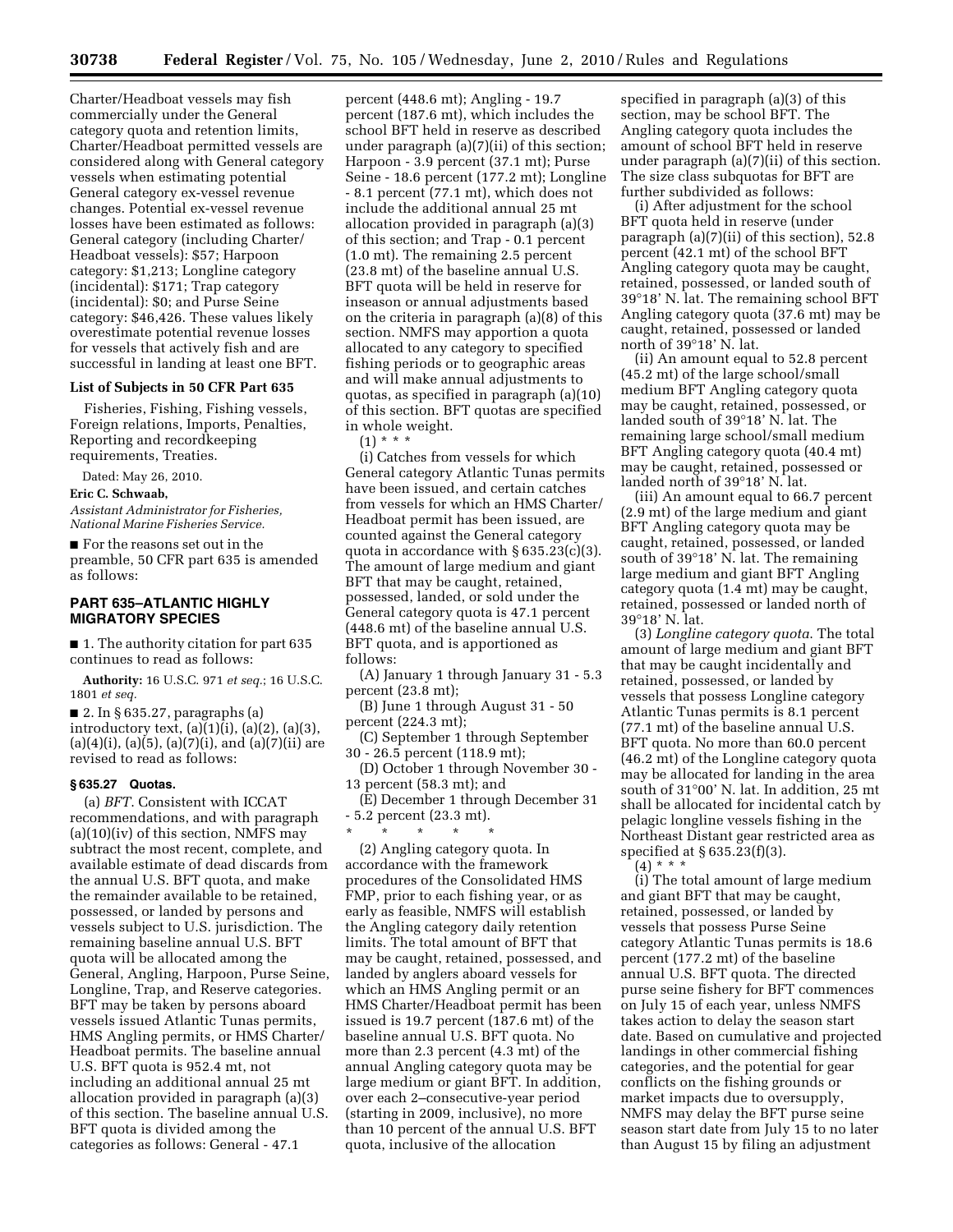Charter/Headboat vessels may fish commercially under the General category quota and retention limits, Charter/Headboat permitted vessels are considered along with General category vessels when estimating potential General category ex-vessel revenue changes. Potential ex-vessel revenue losses have been estimated as follows: General category (including Charter/ Headboat vessels): \$57; Harpoon category: \$1,213; Longline category (incidental): \$171; Trap category (incidental): \$0; and Purse Seine category: \$46,426. These values likely overestimate potential revenue losses for vessels that actively fish and are successful in landing at least one BFT.

## **List of Subjects in 50 CFR Part 635**

Fisheries, Fishing, Fishing vessels, Foreign relations, Imports, Penalties, Reporting and recordkeeping requirements, Treaties.

Dated: May 26, 2010.

**Eric C. Schwaab,** 

*Assistant Administrator for Fisheries, National Marine Fisheries Service.* 

■ For the reasons set out in the preamble, 50 CFR part 635 is amended as follows:

# **PART 635–ATLANTIC HIGHLY MIGRATORY SPECIES**

■ 1. The authority citation for part 635 continues to read as follows:

**Authority:** 16 U.S.C. 971 *et seq.*; 16 U.S.C. 1801 *et seq.* 

■ 2. In § 635.27, paragraphs (a) introductory text,  $(a)(1)(i)$ ,  $(a)(2)$ ,  $(a)(3)$ ,  $(a)(4)(i)$ ,  $(a)(5)$ ,  $(a)(7)(i)$ , and  $(a)(7)(ii)$  are revised to read as follows:

## **§ 635.27 Quotas.**

(a) *BFT*. Consistent with ICCAT recommendations, and with paragraph  $(a)(10)(iv)$  of this section, NMFS may subtract the most recent, complete, and available estimate of dead discards from the annual U.S. BFT quota, and make the remainder available to be retained, possessed, or landed by persons and vessels subject to U.S. jurisdiction. The remaining baseline annual U.S. BFT quota will be allocated among the General, Angling, Harpoon, Purse Seine, Longline, Trap, and Reserve categories. BFT may be taken by persons aboard vessels issued Atlantic Tunas permits, HMS Angling permits, or HMS Charter/ Headboat permits. The baseline annual U.S. BFT quota is 952.4 mt, not including an additional annual 25 mt allocation provided in paragraph (a)(3) of this section. The baseline annual U.S. BFT quota is divided among the categories as follows: General - 47.1

percent (448.6 mt); Angling - 19.7 percent (187.6 mt), which includes the school BFT held in reserve as described under paragraph (a)(7)(ii) of this section; Harpoon - 3.9 percent (37.1 mt); Purse Seine - 18.6 percent (177.2 mt); Longline - 8.1 percent (77.1 mt), which does not include the additional annual 25 mt allocation provided in paragraph (a)(3) of this section; and Trap - 0.1 percent (1.0 mt). The remaining 2.5 percent (23.8 mt) of the baseline annual U.S. BFT quota will be held in reserve for inseason or annual adjustments based on the criteria in paragraph (a)(8) of this section. NMFS may apportion a quota allocated to any category to specified fishing periods or to geographic areas and will make annual adjustments to quotas, as specified in paragraph (a)(10) of this section. BFT quotas are specified in whole weight.

 $(1) * * *$ 

(i) Catches from vessels for which General category Atlantic Tunas permits have been issued, and certain catches from vessels for which an HMS Charter/ Headboat permit has been issued, are counted against the General category quota in accordance with  $\S 635.23(c)(3)$ . The amount of large medium and giant BFT that may be caught, retained, possessed, landed, or sold under the General category quota is 47.1 percent (448.6 mt) of the baseline annual U.S. BFT quota, and is apportioned as follows:

(A) January 1 through January 31 - 5.3 percent (23.8 mt);

(B) June 1 through August 31 - 50 percent (224.3 mt);

(C) September 1 through September 30 - 26.5 percent (118.9 mt);

(D) October 1 through November 30 - 13 percent (58.3 mt); and

(E) December 1 through December 31 - 5.2 percent (23.3 mt).

\* \* \* \* \*

(2) Angling category quota. In accordance with the framework procedures of the Consolidated HMS FMP, prior to each fishing year, or as early as feasible, NMFS will establish the Angling category daily retention limits. The total amount of BFT that may be caught, retained, possessed, and landed by anglers aboard vessels for which an HMS Angling permit or an HMS Charter/Headboat permit has been issued is 19.7 percent (187.6 mt) of the baseline annual U.S. BFT quota. No more than 2.3 percent (4.3 mt) of the annual Angling category quota may be large medium or giant BFT. In addition, over each 2–consecutive-year period (starting in 2009, inclusive), no more than 10 percent of the annual U.S. BFT quota, inclusive of the allocation

specified in paragraph (a)(3) of this section, may be school BFT. The Angling category quota includes the amount of school BFT held in reserve under paragraph (a)(7)(ii) of this section. The size class subquotas for BFT are further subdivided as follows:

(i) After adjustment for the school BFT quota held in reserve (under paragraph (a)(7)(ii) of this section), 52.8 percent (42.1 mt) of the school BFT Angling category quota may be caught, retained, possessed, or landed south of 39°18' N. lat. The remaining school BFT Angling category quota (37.6 mt) may be caught, retained, possessed or landed north of 39°18' N. lat.

(ii) An amount equal to 52.8 percent (45.2 mt) of the large school/small medium BFT Angling category quota may be caught, retained, possessed, or landed south of 39°18' N. lat. The remaining large school/small medium BFT Angling category quota (40.4 mt) may be caught, retained, possessed or landed north of 39°18' N. lat.

(iii) An amount equal to 66.7 percent (2.9 mt) of the large medium and giant BFT Angling category quota may be caught, retained, possessed, or landed south of 39°18' N. lat. The remaining large medium and giant BFT Angling category quota (1.4 mt) may be caught, retained, possessed or landed north of 39°18' N. lat.

(3) *Longline category quota*. The total amount of large medium and giant BFT that may be caught incidentally and retained, possessed, or landed by vessels that possess Longline category Atlantic Tunas permits is 8.1 percent (77.1 mt) of the baseline annual U.S. BFT quota. No more than 60.0 percent (46.2 mt) of the Longline category quota may be allocated for landing in the area south of 31°00' N. lat. In addition, 25 mt shall be allocated for incidental catch by pelagic longline vessels fishing in the Northeast Distant gear restricted area as specified at § 635.23(f)(3).

 $(4)$  \* \* \*

(i) The total amount of large medium and giant BFT that may be caught, retained, possessed, or landed by vessels that possess Purse Seine category Atlantic Tunas permits is 18.6 percent (177.2 mt) of the baseline annual U.S. BFT quota. The directed purse seine fishery for BFT commences on July 15 of each year, unless NMFS takes action to delay the season start date. Based on cumulative and projected landings in other commercial fishing categories, and the potential for gear conflicts on the fishing grounds or market impacts due to oversupply, NMFS may delay the BFT purse seine season start date from July 15 to no later than August 15 by filing an adjustment